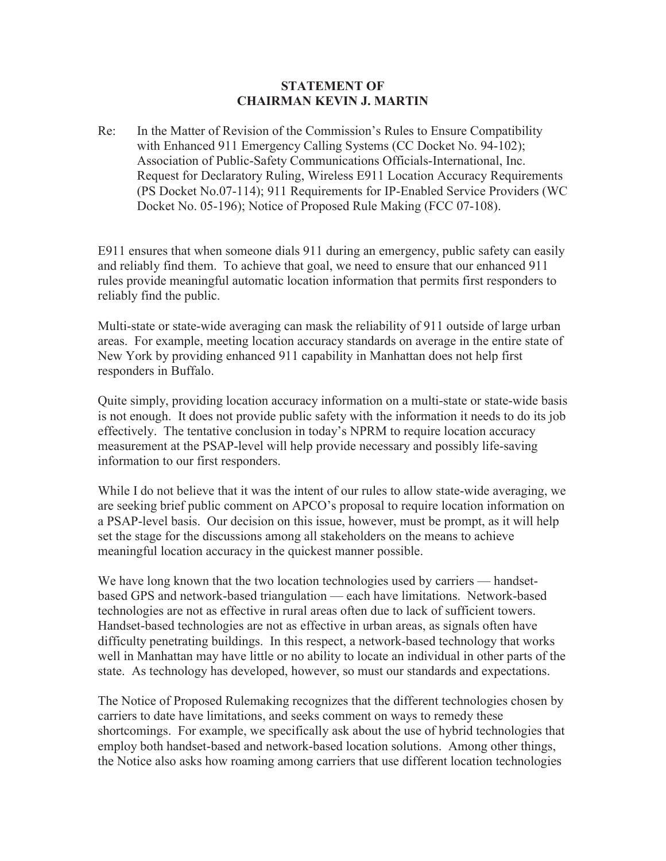## **STATEMENT OF CHAIRMAN KEVIN J. MARTIN**

Re: In the Matter of Revision of the Commission's Rules to Ensure Compatibility with Enhanced 911 Emergency Calling Systems (CC Docket No. 94-102); Association of Public-Safety Communications Officials-International, Inc. Request for Declaratory Ruling, Wireless E911 Location Accuracy Requirements (PS Docket No.07-114); 911 Requirements for IP-Enabled Service Providers (WC Docket No. 05-196); Notice of Proposed Rule Making (FCC 07-108).

E911 ensures that when someone dials 911 during an emergency, public safety can easily and reliably find them. To achieve that goal, we need to ensure that our enhanced 911 rules provide meaningful automatic location information that permits first responders to reliably find the public.

Multi-state or state-wide averaging can mask the reliability of 911 outside of large urban areas. For example, meeting location accuracy standards on average in the entire state of New York by providing enhanced 911 capability in Manhattan does not help first responders in Buffalo.

Quite simply, providing location accuracy information on a multi-state or state-wide basis is not enough. It does not provide public safety with the information it needs to do its job effectively. The tentative conclusion in today's NPRM to require location accuracy measurement at the PSAP-level will help provide necessary and possibly life-saving information to our first responders.

While I do not believe that it was the intent of our rules to allow state-wide averaging, we are seeking brief public comment on APCO's proposal to require location information on a PSAP-level basis. Our decision on this issue, however, must be prompt, as it will help set the stage for the discussions among all stakeholders on the means to achieve meaningful location accuracy in the quickest manner possible.

We have long known that the two location technologies used by carriers — handsetbased GPS and network-based triangulation — each have limitations. Network-based technologies are not as effective in rural areas often due to lack of sufficient towers. Handset-based technologies are not as effective in urban areas, as signals often have difficulty penetrating buildings. In this respect, a network-based technology that works well in Manhattan may have little or no ability to locate an individual in other parts of the state. As technology has developed, however, so must our standards and expectations.

The Notice of Proposed Rulemaking recognizes that the different technologies chosen by carriers to date have limitations, and seeks comment on ways to remedy these shortcomings. For example, we specifically ask about the use of hybrid technologies that employ both handset-based and network-based location solutions. Among other things, the Notice also asks how roaming among carriers that use different location technologies